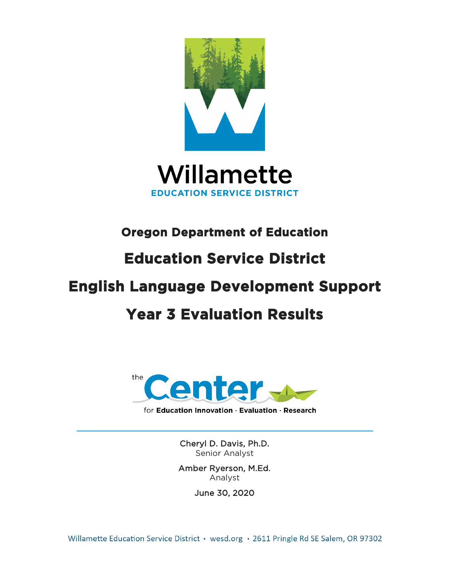



# **Oregon Department of Education**

# **Education Service District**

# **English Language Development Support**

# **Year 3 Evaluation Results**



for Education Innovation · Evaluation · Research

Cheryl D. Davis, Ph.D. Senior Analyst

Amber Ryerson, M.Ed. Analyst

June 30, 2020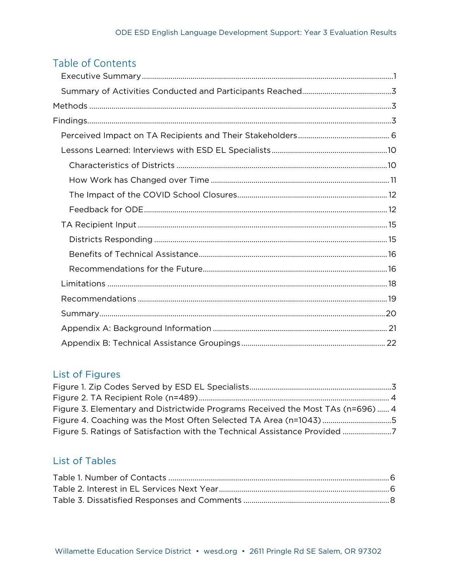# Table of Contents

# List of Figures

| Figure 3. Elementary and Districtwide Programs Received the Most TAs (n=696) 4 |  |
|--------------------------------------------------------------------------------|--|
| Figure 4. Coaching was the Most Often Selected TA Area (n=1043) 5              |  |
|                                                                                |  |

## **List of Tables**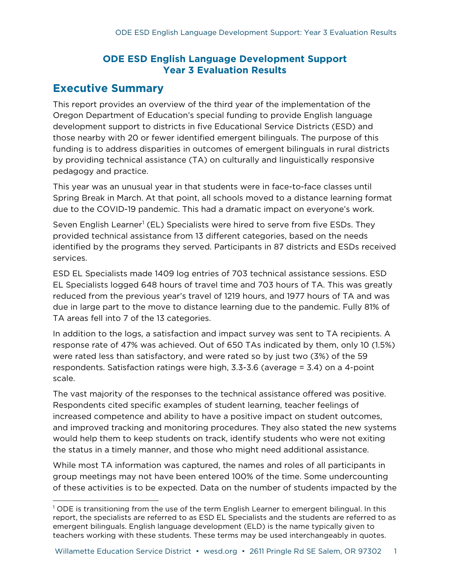### **ODE ESD English Language Development Support Year 3 Evaluation Results**

### <span id="page-2-0"></span>**Executive Summary**

This report provides an overview of the third year of the implementation of the Oregon Department of Education's special funding to provide English language development support to districts in five Educational Service Districts (ESD) and those nearby with 20 or fewer identified emergent bilinguals. The purpose of this funding is to address disparities in outcomes of emergent bilinguals in rural districts by providing technical assistance (TA) on culturally and linguistically responsive pedagogy and practice.

This year was an unusual year in that students were in face-to-face classes until Spring Break in March. At that point, all schools moved to a distance learning format due to the COVID-19 pandemic. This had a dramatic impact on everyone's work.

Seven English Learner<sup>[1](#page-2-1)</sup> (EL) Specialists were hired to serve from five ESDs. They provided technical assistance from 13 different categories, based on the needs identified by the programs they served. Participants in 87 districts and ESDs received services.

ESD EL Specialists made 1409 log entries of 703 technical assistance sessions. ESD EL Specialists logged 648 hours of travel time and 703 hours of TA. This was greatly reduced from the previous year's travel of 1219 hours, and 1977 hours of TA and was due in large part to the move to distance learning due to the pandemic. Fully 81% of TA areas fell into 7 of the 13 categories.

In addition to the logs, a satisfaction and impact survey was sent to TA recipients. A response rate of 47% was achieved. Out of 650 TAs indicated by them, only 10 (1.5%) were rated less than satisfactory, and were rated so by just two (3%) of the 59 respondents. Satisfaction ratings were high, 3.3-3.6 (average = 3.4) on a 4-point scale.

The vast majority of the responses to the technical assistance offered was positive. Respondents cited specific examples of student learning, teacher feelings of increased competence and ability to have a positive impact on student outcomes, and improved tracking and monitoring procedures. They also stated the new systems would help them to keep students on track, identify students who were not exiting the status in a timely manner, and those who might need additional assistance.

While most TA information was captured, the names and roles of all participants in group meetings may not have been entered 100% of the time. Some undercounting of these activities is to be expected. Data on the number of students impacted by the

<span id="page-2-1"></span><sup>&</sup>lt;sup>1</sup> ODE is transitioning from the use of the term English Learner to emergent bilingual. In this report, the specialists are referred to as ESD EL Specialists and the students are referred to as emergent bilinguals. English language development (ELD) is the name typically given to teachers working with these students. These terms may be used interchangeably in quotes.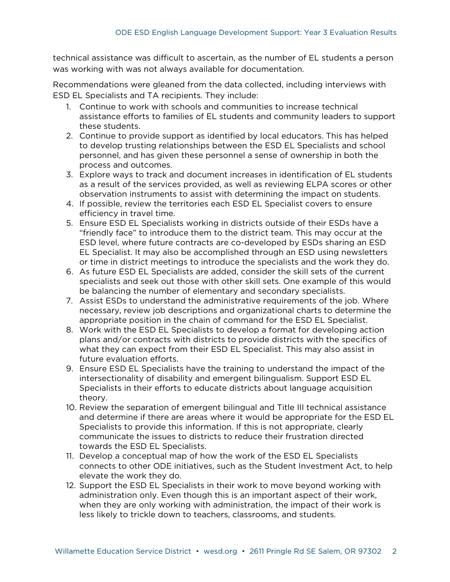technical assistance was difficult to ascertain, as the number of EL students a person was working with was not always available for documentation.

Recommendations were gleaned from the data collected, including interviews with ESD EL Specialists and TA recipients. They include:

- 1. Continue to work with schools and communities to increase technical assistance efforts to families of EL students and community leaders to support these students.
- 2. Continue to provide support as identified by local educators. This has helped to develop trusting relationships between the ESD EL Specialists and school personnel, and has given these personnel a sense of ownership in both the process and outcomes.
- 3. Explore ways to track and document increases in identification of EL students as a result of the services provided, as well as reviewing ELPA scores or other observation instruments to assist with determining the impact on students.
- 4. If possible, review the territories each ESD EL Specialist covers to ensure efficiency in travel time.
- 5. Ensure ESD EL Specialists working in districts outside of their ESDs have a "friendly face" to introduce them to the district team. This may occur at the ESD level, where future contracts are co-developed by ESDs sharing an ESD EL Specialist. It may also be accomplished through an ESD using newsletters or time in district meetings to introduce the specialists and the work they do.
- 6. As future ESD EL Specialists are added, consider the skill sets of the current specialists and seek out those with other skill sets. One example of this would be balancing the number of elementary and secondary specialists.
- 7. Assist ESDs to understand the administrative requirements of the job. Where necessary, review job descriptions and organizational charts to determine the appropriate position in the chain of command for the ESD EL Specialist.
- 8. Work with the ESD EL Specialists to develop a format for developing action plans and/or contracts with districts to provide districts with the specifics of what they can expect from their ESD EL Specialist. This may also assist in future evaluation efforts.
- 9. Ensure ESD EL Specialists have the training to understand the impact of the intersectionality of disability and emergent bilingualism. Support ESD EL Specialists in their efforts to educate districts about language acquisition theory.
- 10. Review the separation of emergent bilingual and Title III technical assistance and determine if there are areas where it would be appropriate for the ESD EL Specialists to provide this information. If this is not appropriate, clearly communicate the issues to districts to reduce their frustration directed towards the ESD EL Specialists.
- 11. Develop a conceptual map of how the work of the ESD EL Specialists connects to other ODE initiatives, such as the Student Investment Act, to help elevate the work they do.
- 12. Support the ESD EL Specialists in their work to move beyond working with administration only. Even though this is an important aspect of their work, when they are only working with administration, the impact of their work is less likely to trickle down to teachers, classrooms, and students.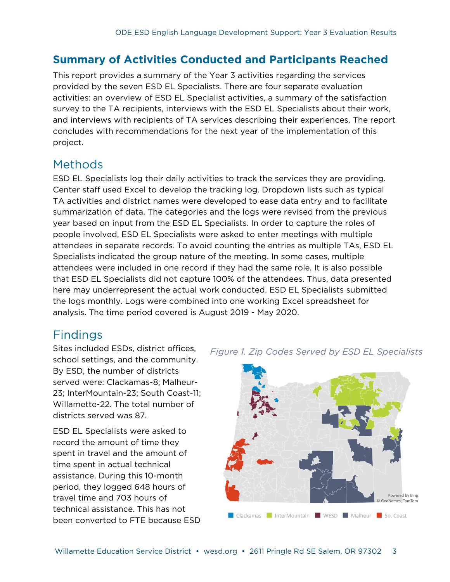# <span id="page-4-0"></span>**Summary of Activities Conducted and Participants Reached**

This report provides a summary of the Year 3 activities regarding the services provided by the seven ESD EL Specialists. There are four separate evaluation activities: an overview of ESD EL Specialist activities, a summary of the satisfaction survey to the TA recipients, interviews with the ESD EL Specialists about their work, and interviews with recipients of TA services describing their experiences. The report concludes with recommendations for the next year of the implementation of this project.

# <span id="page-4-1"></span>Methods

ESD EL Specialists log their daily activities to track the services they are providing. Center staff used Excel to develop the tracking log. Dropdown lists such as typical TA activities and district names were developed to ease data entry and to facilitate summarization of data. The categories and the logs were revised from the previous year based on input from the ESD EL Specialists. In order to capture the roles of people involved, ESD EL Specialists were asked to enter meetings with multiple attendees in separate records. To avoid counting the entries as multiple TAs, ESD EL Specialists indicated the group nature of the meeting. In some cases, multiple attendees were included in one record if they had the same role. It is also possible that ESD EL Specialists did not capture 100% of the attendees. Thus, data presented here may underrepresent the actual work conducted. ESD EL Specialists submitted the logs monthly. Logs were combined into one working Excel spreadsheet for analysis. The time period covered is August 2019 - May 2020.

# <span id="page-4-2"></span>Findings

Sites included ESDs, district offices, school settings, and the community. By ESD, the number of districts served were: Clackamas-8; Malheur-23; InterMountain-23; South Coast-11; Willamette-22. The total number of districts served was 87.

ESD EL Specialists were asked to record the amount of time they spent in travel and the amount of time spent in actual technical assistance. During this 10-month period, they logged 648 hours of travel time and 703 hours of technical assistance. This has not been converted to FTE because ESD



#### *Figure 1. Zip Codes Served by ESD EL Specialists*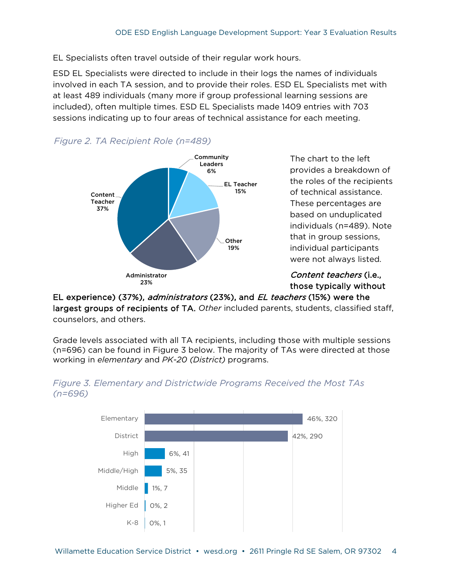EL Specialists often travel outside of their regular work hours.

ESD EL Specialists were directed to include in their logs the names of individuals involved in each TA session, and to provide their roles. ESD EL Specialists met with at least 489 individuals (many more if group professional learning sessions are included), often multiple times. ESD EL Specialists made 1409 entries with 703 sessions indicating up to four areas of technical assistance for each meeting.



EL experience) (37%), *administrators* (23%), and *EL teachers* (15%) were the largest groups of recipients of TA. *Other* included parents, students, classified staff, counselors, and others.

Grade levels associated with all TA recipients, including those with multiple sessions (n=696) can be found in Figure 3 below. The majority of TAs were directed at those working in *elementary* and *PK-20 (District)* programs.



#### <span id="page-5-0"></span>*Figure 3. Elementary and Districtwide Programs Received the Most TAs (n=696)*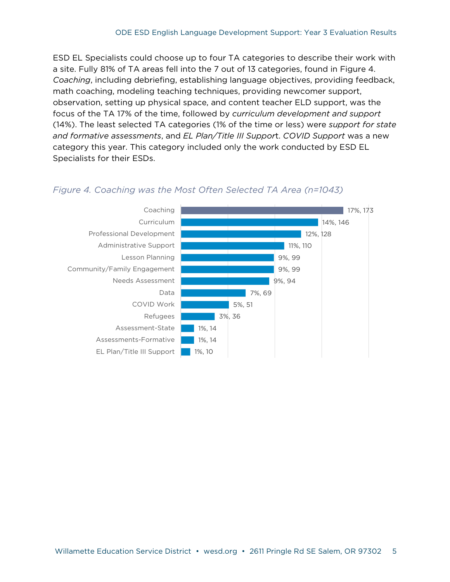ESD EL Specialists could choose up to four TA categories to describe their work with a site. Fully 81% of TA areas fell into the 7 out of 13 categories, found in Figure 4. *Coaching*, including debriefing, establishing language objectives, providing feedback, math coaching, modeling teaching techniques, providing newcomer support, observation, setting up physical space, and content teacher ELD support, was the focus of the TA 17% of the time, followed by *curriculum development and support*  (14%). The least selected TA categories (1% of the time or less) were *support for state and formative assessments*, and *EL Plan/Title III Suppor*t. *COVID Support* was a new category this year. This category included only the work conducted by ESD EL Specialists for their ESDs.



#### <span id="page-6-0"></span>*Figure 4. Coaching was the Most Often Selected TA Area (n=1043)*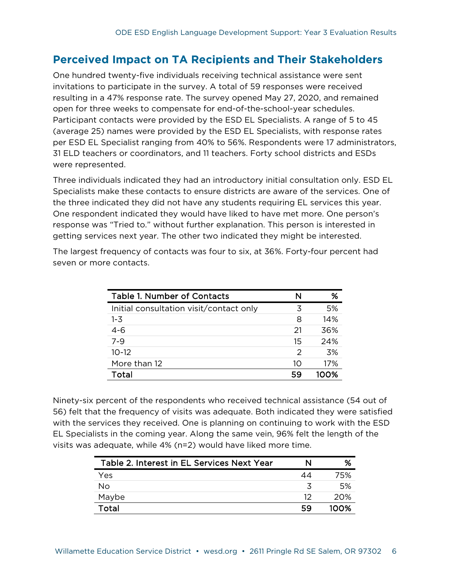# <span id="page-7-0"></span>**Perceived Impact on TA Recipients and Their Stakeholders**

One hundred twenty-five individuals receiving technical assistance were sent invitations to participate in the survey. A total of 59 responses were received resulting in a 47% response rate. The survey opened May 27, 2020, and remained open for three weeks to compensate for end-of-the-school-year schedules. Participant contacts were provided by the ESD EL Specialists. A range of 5 to 45 (average 25) names were provided by the ESD EL Specialists, with response rates per ESD EL Specialist ranging from 40% to 56%. Respondents were 17 administrators, 31 ELD teachers or coordinators, and 11 teachers. Forty school districts and ESDs were represented.

Three individuals indicated they had an introductory initial consultation only. ESD EL Specialists make these contacts to ensure districts are aware of the services. One of the three indicated they did not have any students requiring EL services this year. One respondent indicated they would have liked to have met more. One person's response was "Tried to." without further explanation. This person is interested in getting services next year. The other two indicated they might be interested.

| <b>Table 1. Number of Contacts</b>      | N  | %    |
|-----------------------------------------|----|------|
| Initial consultation visit/contact only | 3  | 5%   |
| $1 - 3$                                 | 8  | 14%  |
| $4 - 6$                                 | 21 | 36%  |
| $7 - 9$                                 | 15 | 24%  |
| $10 - 12$                               | 2  | 3%   |
| More than 12                            | 10 | 17%  |
| Total                                   | 59 | 1ററ% |

The largest frequency of contacts was four to six, at 36%. Forty-four percent had seven or more contacts.

Ninety-six percent of the respondents who received technical assistance (54 out of 56) felt that the frequency of visits was adequate. Both indicated they were satisfied with the services they received. One is planning on continuing to work with the ESD EL Specialists in the coming year. Along the same vein, 96% felt the length of the visits was adequate, while 4% (n=2) would have liked more time.

| Table 2. Interest in EL Services Next Year | N  | %    |
|--------------------------------------------|----|------|
| Yes                                        | 44 | 75%  |
| No                                         |    | .5%  |
| Maybe                                      | 12 | 20%  |
| Total                                      | 59 | 1ററ% |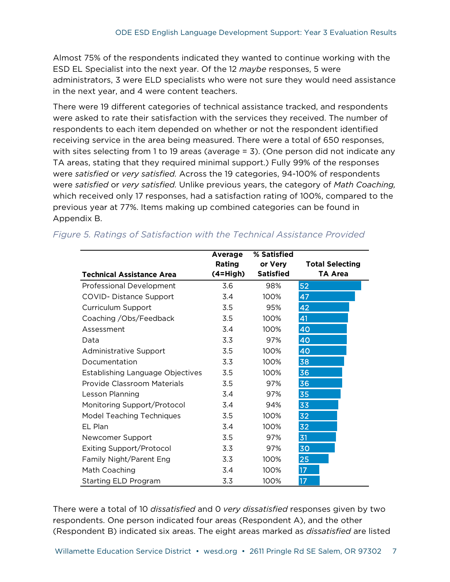Almost 75% of the respondents indicated they wanted to continue working with the ESD EL Specialist into the next year. Of the 12 *maybe* responses, 5 were administrators, 3 were ELD specialists who were not sure they would need assistance in the next year, and 4 were content teachers.

There were 19 different categories of technical assistance tracked, and respondents were asked to rate their satisfaction with the services they received. The number of respondents to each item depended on whether or not the respondent identified receiving service in the area being measured. There were a total of 650 responses, with sites selecting from 1 to 19 areas (average = 3). (One person did not indicate any TA areas, stating that they required minimal support.) Fully 99% of the responses were *satisfied* or *very satisfied.* Across the 19 categories, 94-100% of respondents were *satisfied* or *very satisfied.* Unlike previous years, the category of *Math Coaching,*  which received only 17 responses, had a satisfaction rating of 100%, compared to the previous year at 77%. Items making up combined categories can be found in Appendix B.

|                                  | Average    | % Satisfied      |                        |
|----------------------------------|------------|------------------|------------------------|
|                                  | Rating     | or Very          | <b>Total Selecting</b> |
| <b>Technical Assistance Area</b> | $(4=High)$ | <b>Satisfied</b> | <b>TA Area</b>         |
| <b>Professional Development</b>  | 3.6        | 98%              | 52                     |
| COVID- Distance Support          | 3.4        | 100%             | 47                     |
| Curriculum Support               | 3.5        | 95%              | 42                     |
| Coaching / Obs/Feedback          | 3.5        | 100%             | 41                     |
| Assessment                       | 3.4        | 100%             | 40                     |
| Data                             | 3.3        | 97%              | 40                     |
| Administrative Support           | 3.5        | 100%             | 40                     |
| Documentation                    | 3.3        | 100%             | 38                     |
| Establishing Language Objectives | 3.5        | 100%             | 36                     |
| Provide Classroom Materials      | 3.5        | 97%              | 36                     |
| Lesson Planning                  | 3.4        | 97%              | 35                     |
| Monitoring Support/Protocol      | 3.4        | 94%              | 33                     |
| <b>Model Teaching Techniques</b> | 3.5        | 100%             | 32                     |
| EL Plan                          | 3.4        | 100%             | 32                     |
| Newcomer Support                 | 3.5        | 97%              | 31                     |
| <b>Exiting Support/Protocol</b>  | 3.3        | 97%              | 30                     |
| Family Night/Parent Eng          | 3.3        | 100%             | 25                     |
| Math Coaching                    | 3.4        | 100%             | 17                     |
| <b>Starting ELD Program</b>      | 3.3        | 100%             | 17 <sup>2</sup>        |

### <span id="page-8-0"></span>*Figure 5. Ratings of Satisfaction with the Technical Assistance Provided*

There were a total of 10 *dissatisfied* and 0 *very dissatisfied* responses given by two respondents. One person indicated four areas (Respondent A), and the other (Respondent B) indicated six areas. The eight areas marked as *dissatisfied* are listed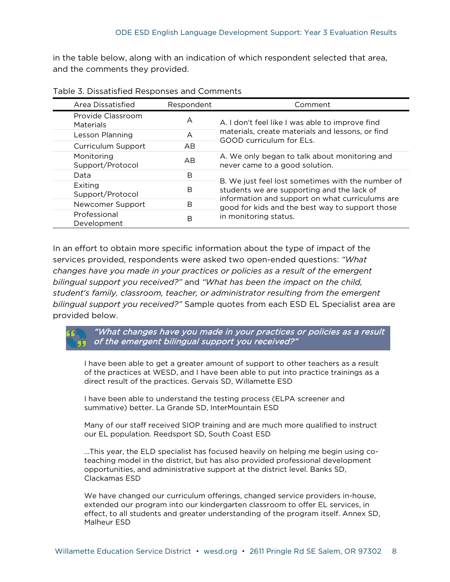in the table below, along with an indication of which respondent selected that area, and the comments they provided.

| Area Dissatisfied              | Respondent     | Comment                                                                                            |
|--------------------------------|----------------|----------------------------------------------------------------------------------------------------|
| Provide Classroom<br>Materials | A              | A. I don't feel like I was able to improve find                                                    |
| Lesson Planning                | A              | materials, create materials and lessons, or find<br>GOOD curriculum for FLs.                       |
| Curriculum Support             | AB             |                                                                                                    |
| Monitoring<br>Support/Protocol | A <sub>B</sub> | A. We only began to talk about monitoring and<br>never came to a good solution.                    |
| Data                           | B              |                                                                                                    |
| Exiting<br>Support/Protocol    | B              | B. We just feel lost sometimes with the number of<br>students we are supporting and the lack of    |
| Newcomer Support               | B              | information and support on what curriculums are<br>good for kids and the best way to support those |
| Professional<br>Development    | B              | in monitoring status.                                                                              |

In an effort to obtain more specific information about the type of impact of the services provided, respondents were asked two open-ended questions: *"What changes have you made in your practices or policies as a result of the emergent bilingual support you received?"* and *"What has been the impact on the child, student's family, classroom, teacher, or administrator resulting from the emergent bilingual support you received?"* Sample quotes from each ESD EL Specialist area are provided below.

"What changes have you made in your practices or policies as a result  $\overline{J}$  of the emergent bilingual support you received?"

I have been able to get a greater amount of support to other teachers as a result of the practices at WESD, and I have been able to put into practice trainings as a direct result of the practices. Gervais SD, Willamette ESD

I have been able to understand the testing process (ELPA screener and summative) better. La Grande SD, InterMountain ESD

Many of our staff received SIOP training and are much more qualified to instruct our EL population. Reedsport SD, South Coast ESD

…This year, the ELD specialist has focused heavily on helping me begin using coteaching model in the district, but has also provided professional development opportunities, and administrative support at the district level. Banks SD, Clackamas ESD

We have changed our curriculum offerings, changed service providers in-house, extended our program into our kindergarten classroom to offer EL services, in effect, to all students and greater understanding of the program itself. Annex SD, Malheur ESD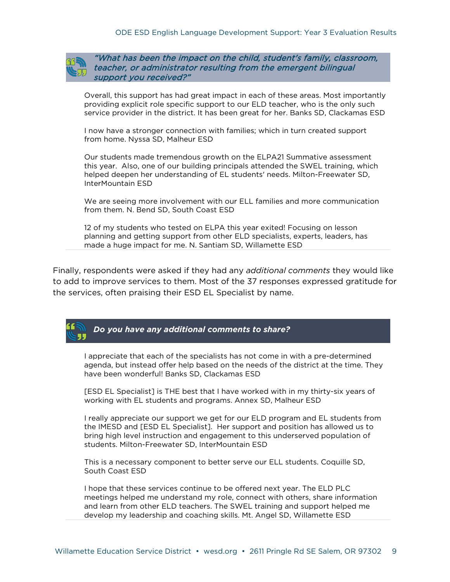

"What has been the impact on the child, student's family, classroom, teacher, or administrator resulting from the emergent bilingual support you received?"

Overall, this support has had great impact in each of these areas. Most importantly providing explicit role specific support to our ELD teacher, who is the only such service provider in the district. It has been great for her. Banks SD, Clackamas ESD

I now have a stronger connection with families; which in turn created support from home. Nyssa SD, Malheur ESD

Our students made tremendous growth on the ELPA21 Summative assessment this year. Also, one of our building principals attended the SWEL training, which helped deepen her understanding of EL students' needs. Milton-Freewater SD, InterMountain ESD

We are seeing more involvement with our ELL families and more communication from them. N. Bend SD, South Coast ESD

12 of my students who tested on ELPA this year exited! Focusing on lesson planning and getting support from other ELD specialists, experts, leaders, has made a huge impact for me. N. Santiam SD, Willamette ESD

Finally, respondents were asked if they had any *additional comments* they would like to add to improve services to them. Most of the 37 responses expressed gratitude for the services, often praising their ESD EL Specialist by name.



I appreciate that each of the specialists has not come in with a pre-determined agenda, but instead offer help based on the needs of the district at the time. They have been wonderful! Banks SD, Clackamas ESD

[ESD EL Specialist] is THE best that I have worked with in my thirty-six years of working with EL students and programs. Annex SD, Malheur ESD

I really appreciate our support we get for our ELD program and EL students from the IMESD and [ESD EL Specialist]. Her support and position has allowed us to bring high level instruction and engagement to this underserved population of students. Milton-Freewater SD, InterMountain ESD

This is a necessary component to better serve our ELL students. Coquille SD, South Coast ESD

I hope that these services continue to be offered next year. The ELD PLC meetings helped me understand my role, connect with others, share information and learn from other ELD teachers. The SWEL training and support helped me develop my leadership and coaching skills. Mt. Angel SD, Willamette ESD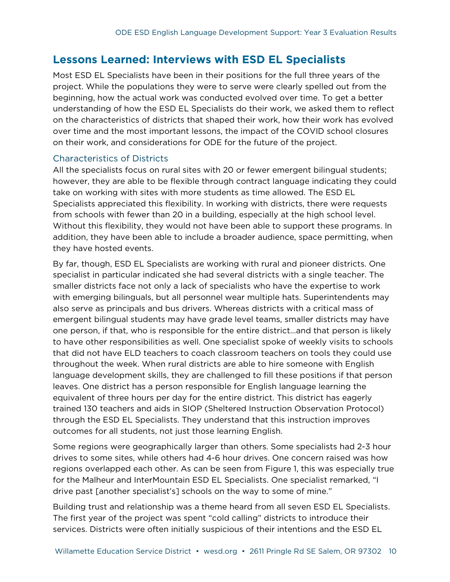## <span id="page-11-0"></span>**Lessons Learned: Interviews with ESD EL Specialists**

Most ESD EL Specialists have been in their positions for the full three years of the project. While the populations they were to serve were clearly spelled out from the beginning, how the actual work was conducted evolved over time. To get a better understanding of how the ESD EL Specialists do their work, we asked them to reflect on the characteristics of districts that shaped their work, how their work has evolved over time and the most important lessons, the impact of the COVID school closures on their work, and considerations for ODE for the future of the project.

#### <span id="page-11-1"></span>Characteristics of Districts

All the specialists focus on rural sites with 20 or fewer emergent bilingual students; however, they are able to be flexible through contract language indicating they could take on working with sites with more students as time allowed. The ESD EL Specialists appreciated this flexibility. In working with districts, there were requests from schools with fewer than 20 in a building, especially at the high school level. Without this flexibility, they would not have been able to support these programs. In addition, they have been able to include a broader audience, space permitting, when they have hosted events.

By far, though, ESD EL Specialists are working with rural and pioneer districts. One specialist in particular indicated she had several districts with a single teacher. The smaller districts face not only a lack of specialists who have the expertise to work with emerging bilinguals, but all personnel wear multiple hats. Superintendents may also serve as principals and bus drivers. Whereas districts with a critical mass of emergent bilingual students may have grade level teams, smaller districts may have one person, if that, who is responsible for the entire district…and that person is likely to have other responsibilities as well. One specialist spoke of weekly visits to schools that did not have ELD teachers to coach classroom teachers on tools they could use throughout the week. When rural districts are able to hire someone with English language development skills, they are challenged to fill these positions if that person leaves. One district has a person responsible for English language learning the equivalent of three hours per day for the entire district. This district has eagerly trained 130 teachers and aids in SIOP (Sheltered Instruction Observation Protocol) through the ESD EL Specialists. They understand that this instruction improves outcomes for all students, not just those learning English.

Some regions were geographically larger than others. Some specialists had 2-3 hour drives to some sites, while others had 4-6 hour drives. One concern raised was how regions overlapped each other. As can be seen from Figure 1, this was especially true for the Malheur and InterMountain ESD EL Specialists. One specialist remarked, "I drive past [another specialist's] schools on the way to some of mine."

Building trust and relationship was a theme heard from all seven ESD EL Specialists. The first year of the project was spent "cold calling" districts to introduce their services. Districts were often initially suspicious of their intentions and the ESD EL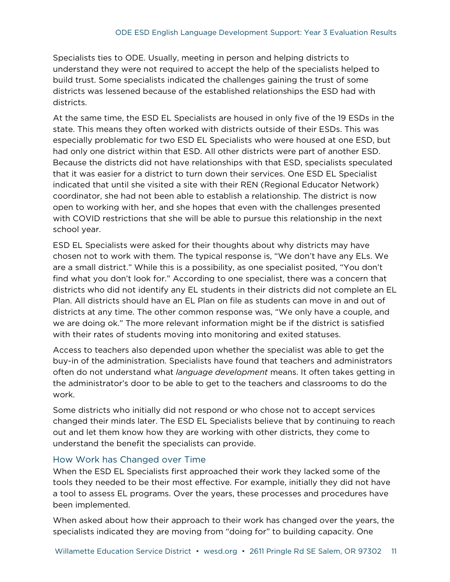Specialists ties to ODE. Usually, meeting in person and helping districts to understand they were not required to accept the help of the specialists helped to build trust. Some specialists indicated the challenges gaining the trust of some districts was lessened because of the established relationships the ESD had with districts.

At the same time, the ESD EL Specialists are housed in only five of the 19 ESDs in the state. This means they often worked with districts outside of their ESDs. This was especially problematic for two ESD EL Specialists who were housed at one ESD, but had only one district within that ESD. All other districts were part of another ESD. Because the districts did not have relationships with that ESD, specialists speculated that it was easier for a district to turn down their services. One ESD EL Specialist indicated that until she visited a site with their REN (Regional Educator Network) coordinator, she had not been able to establish a relationship. The district is now open to working with her, and she hopes that even with the challenges presented with COVID restrictions that she will be able to pursue this relationship in the next school year.

ESD EL Specialists were asked for their thoughts about why districts may have chosen not to work with them. The typical response is, "We don't have any ELs. We are a small district." While this is a possibility, as one specialist posited, "You don't find what you don't look for." According to one specialist, there was a concern that districts who did not identify any EL students in their districts did not complete an EL Plan. All districts should have an EL Plan on file as students can move in and out of districts at any time. The other common response was, "We only have a couple, and we are doing ok." The more relevant information might be if the district is satisfied with their rates of students moving into monitoring and exited statuses.

Access to teachers also depended upon whether the specialist was able to get the buy-in of the administration. Specialists have found that teachers and administrators often do not understand what *language development* means. It often takes getting in the administrator's door to be able to get to the teachers and classrooms to do the work.

Some districts who initially did not respond or who chose not to accept services changed their minds later. The ESD EL Specialists believe that by continuing to reach out and let them know how they are working with other districts, they come to understand the benefit the specialists can provide.

#### <span id="page-12-0"></span>How Work has Changed over Time

When the ESD EL Specialists first approached their work they lacked some of the tools they needed to be their most effective. For example, initially they did not have a tool to assess EL programs. Over the years, these processes and procedures have been implemented.

When asked about how their approach to their work has changed over the years, the specialists indicated they are moving from "doing for" to building capacity. One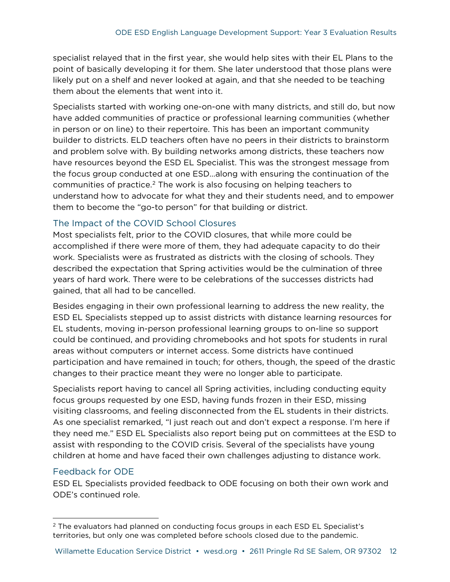specialist relayed that in the first year, she would help sites with their EL Plans to the point of basically developing it for them. She later understood that those plans were likely put on a shelf and never looked at again, and that she needed to be teaching them about the elements that went into it.

Specialists started with working one-on-one with many districts, and still do, but now have added communities of practice or professional learning communities (whether in person or on line) to their repertoire. This has been an important community builder to districts. ELD teachers often have no peers in their districts to brainstorm and problem solve with. By building networks among districts, these teachers now have resources beyond the ESD EL Specialist. This was the strongest message from the focus group conducted at one ESD…along with ensuring the continuation of the communities of practice.<sup>2</sup> The work is also focusing on helping teachers to understand how to advocate for what they and their students need, and to empower them to become the "go-to person" for that building or district.

#### <span id="page-13-0"></span>The Impact of the COVID School Closures

Most specialists felt, prior to the COVID closures, that while more could be accomplished if there were more of them, they had adequate capacity to do their work. Specialists were as frustrated as districts with the closing of schools. They described the expectation that Spring activities would be the culmination of three years of hard work. There were to be celebrations of the successes districts had gained, that all had to be cancelled.

Besides engaging in their own professional learning to address the new reality, the ESD EL Specialists stepped up to assist districts with distance learning resources for EL students, moving in-person professional learning groups to on-line so support could be continued, and providing chromebooks and hot spots for students in rural areas without computers or internet access. Some districts have continued participation and have remained in touch; for others, though, the speed of the drastic changes to their practice meant they were no longer able to participate.

Specialists report having to cancel all Spring activities, including conducting equity focus groups requested by one ESD, having funds frozen in their ESD, missing visiting classrooms, and feeling disconnected from the EL students in their districts. As one specialist remarked, "I just reach out and don't expect a response. I'm here if they need me." ESD EL Specialists also report being put on committees at the ESD to assist with responding to the COVID crisis. Several of the specialists have young children at home and have faced their own challenges adjusting to distance work.

#### <span id="page-13-1"></span>Feedback for ODE

ESD EL Specialists provided feedback to ODE focusing on both their own work and ODE's continued role.

<span id="page-13-2"></span> $2$  The evaluators had planned on conducting focus groups in each ESD EL Specialist's territories, but only one was completed before schools closed due to the pandemic.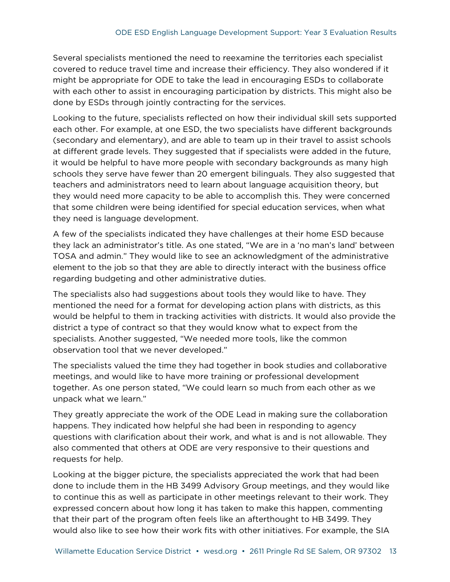Several specialists mentioned the need to reexamine the territories each specialist covered to reduce travel time and increase their efficiency. They also wondered if it might be appropriate for ODE to take the lead in encouraging ESDs to collaborate with each other to assist in encouraging participation by districts. This might also be done by ESDs through jointly contracting for the services.

Looking to the future, specialists reflected on how their individual skill sets supported each other. For example, at one ESD, the two specialists have different backgrounds (secondary and elementary), and are able to team up in their travel to assist schools at different grade levels. They suggested that if specialists were added in the future, it would be helpful to have more people with secondary backgrounds as many high schools they serve have fewer than 20 emergent bilinguals. They also suggested that teachers and administrators need to learn about language acquisition theory, but they would need more capacity to be able to accomplish this. They were concerned that some children were being identified for special education services, when what they need is language development.

A few of the specialists indicated they have challenges at their home ESD because they lack an administrator's title. As one stated, "We are in a 'no man's land' between TOSA and admin." They would like to see an acknowledgment of the administrative element to the job so that they are able to directly interact with the business office regarding budgeting and other administrative duties.

The specialists also had suggestions about tools they would like to have. They mentioned the need for a format for developing action plans with districts, as this would be helpful to them in tracking activities with districts. It would also provide the district a type of contract so that they would know what to expect from the specialists. Another suggested, "We needed more tools, like the common observation tool that we never developed."

The specialists valued the time they had together in book studies and collaborative meetings, and would like to have more training or professional development together. As one person stated, "We could learn so much from each other as we unpack what we learn."

They greatly appreciate the work of the ODE Lead in making sure the collaboration happens. They indicated how helpful she had been in responding to agency questions with clarification about their work, and what is and is not allowable. They also commented that others at ODE are very responsive to their questions and requests for help.

Looking at the bigger picture, the specialists appreciated the work that had been done to include them in the HB 3499 Advisory Group meetings, and they would like to continue this as well as participate in other meetings relevant to their work. They expressed concern about how long it has taken to make this happen, commenting that their part of the program often feels like an afterthought to HB 3499. They would also like to see how their work fits with other initiatives. For example, the SIA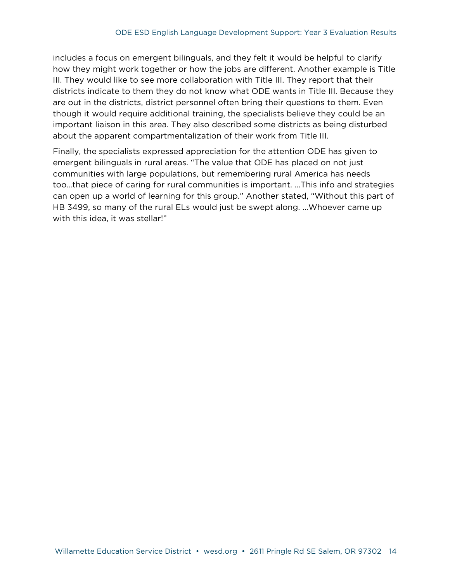includes a focus on emergent bilinguals, and they felt it would be helpful to clarify how they might work together or how the jobs are different. Another example is Title III. They would like to see more collaboration with Title III. They report that their districts indicate to them they do not know what ODE wants in Title III. Because they are out in the districts, district personnel often bring their questions to them. Even though it would require additional training, the specialists believe they could be an important liaison in this area. They also described some districts as being disturbed about the apparent compartmentalization of their work from Title III.

Finally, the specialists expressed appreciation for the attention ODE has given to emergent bilinguals in rural areas. "The value that ODE has placed on not just communities with large populations, but remembering rural America has needs too…that piece of caring for rural communities is important. ...This info and strategies can open up a world of learning for this group." Another stated, "Without this part of HB 3499, so many of the rural ELs would just be swept along. …Whoever came up with this idea, it was stellar!"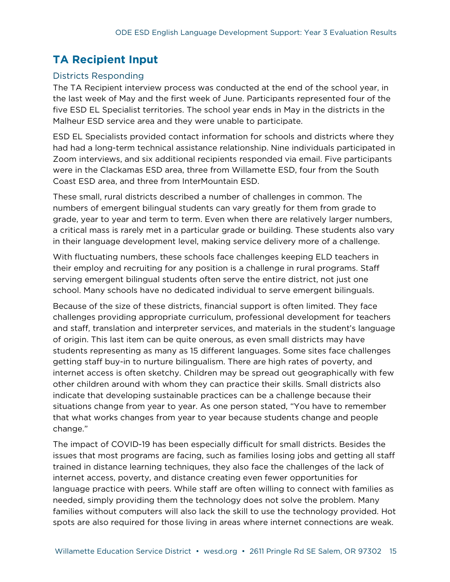# <span id="page-16-0"></span>**TA Recipient Input**

#### <span id="page-16-1"></span>Districts Responding

The TA Recipient interview process was conducted at the end of the school year, in the last week of May and the first week of June. Participants represented four of the five ESD EL Specialist territories. The school year ends in May in the districts in the Malheur ESD service area and they were unable to participate.

ESD EL Specialists provided contact information for schools and districts where they had had a long-term technical assistance relationship. Nine individuals participated in Zoom interviews, and six additional recipients responded via email. Five participants were in the Clackamas ESD area, three from Willamette ESD, four from the South Coast ESD area, and three from InterMountain ESD.

These small, rural districts described a number of challenges in common. The numbers of emergent bilingual students can vary greatly for them from grade to grade, year to year and term to term. Even when there are relatively larger numbers, a critical mass is rarely met in a particular grade or building. These students also vary in their language development level, making service delivery more of a challenge.

With fluctuating numbers, these schools face challenges keeping ELD teachers in their employ and recruiting for any position is a challenge in rural programs. Staff serving emergent bilingual students often serve the entire district, not just one school. Many schools have no dedicated individual to serve emergent bilinguals.

Because of the size of these districts, financial support is often limited. They face challenges providing appropriate curriculum, professional development for teachers and staff, translation and interpreter services, and materials in the student's language of origin. This last item can be quite onerous, as even small districts may have students representing as many as 15 different languages. Some sites face challenges getting staff buy-in to nurture bilingualism. There are high rates of poverty, and internet access is often sketchy. Children may be spread out geographically with few other children around with whom they can practice their skills. Small districts also indicate that developing sustainable practices can be a challenge because their situations change from year to year. As one person stated, "You have to remember that what works changes from year to year because students change and people change."

The impact of COVID-19 has been especially difficult for small districts. Besides the issues that most programs are facing, such as families losing jobs and getting all staff trained in distance learning techniques, they also face the challenges of the lack of internet access, poverty, and distance creating even fewer opportunities for language practice with peers. While staff are often willing to connect with families as needed, simply providing them the technology does not solve the problem. Many families without computers will also lack the skill to use the technology provided. Hot spots are also required for those living in areas where internet connections are weak.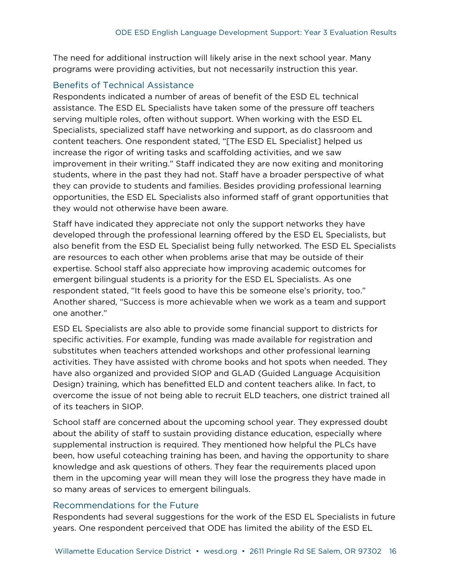The need for additional instruction will likely arise in the next school year. Many programs were providing activities, but not necessarily instruction this year.

#### <span id="page-17-0"></span>Benefits of Technical Assistance

Respondents indicated a number of areas of benefit of the ESD EL technical assistance. The ESD EL Specialists have taken some of the pressure off teachers serving multiple roles, often without support. When working with the ESD EL Specialists, specialized staff have networking and support, as do classroom and content teachers. One respondent stated, "[The ESD EL Specialist] helped us increase the rigor of writing tasks and scaffolding activities, and we saw improvement in their writing." Staff indicated they are now exiting and monitoring students, where in the past they had not. Staff have a broader perspective of what they can provide to students and families. Besides providing professional learning opportunities, the ESD EL Specialists also informed staff of grant opportunities that they would not otherwise have been aware.

Staff have indicated they appreciate not only the support networks they have developed through the professional learning offered by the ESD EL Specialists, but also benefit from the ESD EL Specialist being fully networked. The ESD EL Specialists are resources to each other when problems arise that may be outside of their expertise. School staff also appreciate how improving academic outcomes for emergent bilingual students is a priority for the ESD EL Specialists. As one respondent stated, "It feels good to have this be someone else's priority, too." Another shared, "Success is more achievable when we work as a team and support one another."

ESD EL Specialists are also able to provide some financial support to districts for specific activities. For example, funding was made available for registration and substitutes when teachers attended workshops and other professional learning activities. They have assisted with chrome books and hot spots when needed. They have also organized and provided SIOP and GLAD (Guided Language Acquisition Design) training, which has benefitted ELD and content teachers alike. In fact, to overcome the issue of not being able to recruit ELD teachers, one district trained all of its teachers in SIOP.

School staff are concerned about the upcoming school year. They expressed doubt about the ability of staff to sustain providing distance education, especially where supplemental instruction is required. They mentioned how helpful the PLCs have been, how useful coteaching training has been, and having the opportunity to share knowledge and ask questions of others. They fear the requirements placed upon them in the upcoming year will mean they will lose the progress they have made in so many areas of services to emergent bilinguals.

#### <span id="page-17-1"></span>Recommendations for the Future

Respondents had several suggestions for the work of the ESD EL Specialists in future years. One respondent perceived that ODE has limited the ability of the ESD EL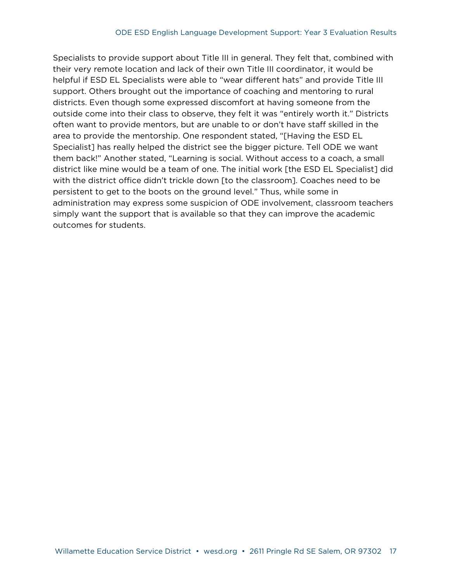Specialists to provide support about Title III in general. They felt that, combined with their very remote location and lack of their own Title III coordinator, it would be helpful if ESD EL Specialists were able to "wear different hats" and provide Title III support. Others brought out the importance of coaching and mentoring to rural districts. Even though some expressed discomfort at having someone from the outside come into their class to observe, they felt it was "entirely worth it." Districts often want to provide mentors, but are unable to or don't have staff skilled in the area to provide the mentorship. One respondent stated, "[Having the ESD EL Specialist] has really helped the district see the bigger picture. Tell ODE we want them back!" Another stated, "Learning is social. Without access to a coach, a small district like mine would be a team of one. The initial work [the ESD EL Specialist] did with the district office didn't trickle down [to the classroom]. Coaches need to be persistent to get to the boots on the ground level." Thus, while some in administration may express some suspicion of ODE involvement, classroom teachers simply want the support that is available so that they can improve the academic outcomes for students.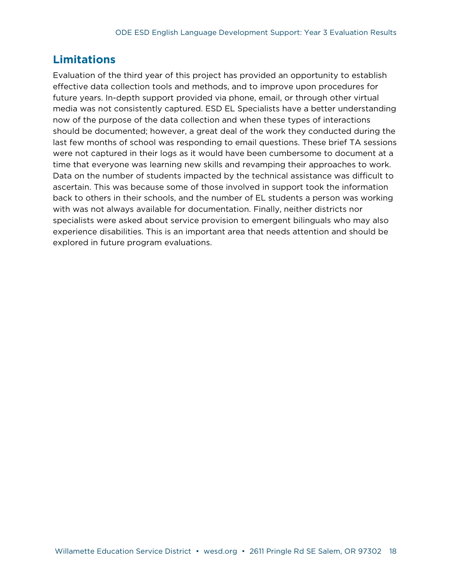## <span id="page-19-0"></span>**Limitations**

Evaluation of the third year of this project has provided an opportunity to establish effective data collection tools and methods, and to improve upon procedures for future years. In-depth support provided via phone, email, or through other virtual media was not consistently captured. ESD EL Specialists have a better understanding now of the purpose of the data collection and when these types of interactions should be documented; however, a great deal of the work they conducted during the last few months of school was responding to email questions. These brief TA sessions were not captured in their logs as it would have been cumbersome to document at a time that everyone was learning new skills and revamping their approaches to work. Data on the number of students impacted by the technical assistance was difficult to ascertain. This was because some of those involved in support took the information back to others in their schools, and the number of EL students a person was working with was not always available for documentation. Finally, neither districts nor specialists were asked about service provision to emergent bilinguals who may also experience disabilities. This is an important area that needs attention and should be explored in future program evaluations.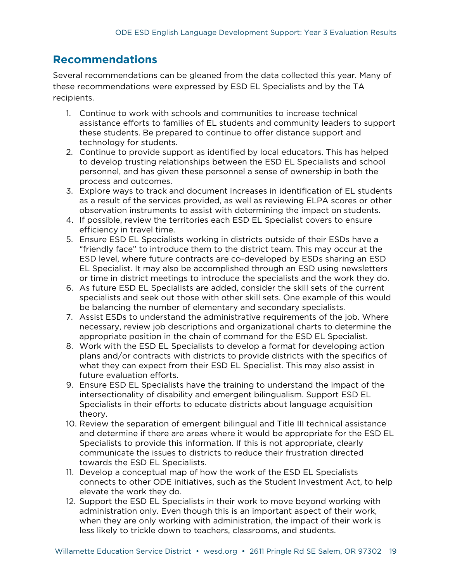# <span id="page-20-0"></span>**Recommendations**

Several recommendations can be gleaned from the data collected this year. Many of these recommendations were expressed by ESD EL Specialists and by the TA recipients.

- 1. Continue to work with schools and communities to increase technical assistance efforts to families of EL students and community leaders to support these students. Be prepared to continue to offer distance support and technology for students.
- 2. Continue to provide support as identified by local educators. This has helped to develop trusting relationships between the ESD EL Specialists and school personnel, and has given these personnel a sense of ownership in both the process and outcomes.
- 3. Explore ways to track and document increases in identification of EL students as a result of the services provided, as well as reviewing ELPA scores or other observation instruments to assist with determining the impact on students.
- 4. If possible, review the territories each ESD EL Specialist covers to ensure efficiency in travel time.
- 5. Ensure ESD EL Specialists working in districts outside of their ESDs have a "friendly face" to introduce them to the district team. This may occur at the ESD level, where future contracts are co-developed by ESDs sharing an ESD EL Specialist. It may also be accomplished through an ESD using newsletters or time in district meetings to introduce the specialists and the work they do.
- 6. As future ESD EL Specialists are added, consider the skill sets of the current specialists and seek out those with other skill sets. One example of this would be balancing the number of elementary and secondary specialists.
- 7. Assist ESDs to understand the administrative requirements of the job. Where necessary, review job descriptions and organizational charts to determine the appropriate position in the chain of command for the ESD EL Specialist.
- 8. Work with the ESD EL Specialists to develop a format for developing action plans and/or contracts with districts to provide districts with the specifics of what they can expect from their ESD EL Specialist. This may also assist in future evaluation efforts.
- 9. Ensure ESD EL Specialists have the training to understand the impact of the intersectionality of disability and emergent bilingualism. Support ESD EL Specialists in their efforts to educate districts about language acquisition theory.
- 10. Review the separation of emergent bilingual and Title III technical assistance and determine if there are areas where it would be appropriate for the ESD EL Specialists to provide this information. If this is not appropriate, clearly communicate the issues to districts to reduce their frustration directed towards the ESD EL Specialists.
- 11. Develop a conceptual map of how the work of the ESD EL Specialists connects to other ODE initiatives, such as the Student Investment Act, to help elevate the work they do.
- 12. Support the ESD EL Specialists in their work to move beyond working with administration only. Even though this is an important aspect of their work, when they are only working with administration, the impact of their work is less likely to trickle down to teachers, classrooms, and students.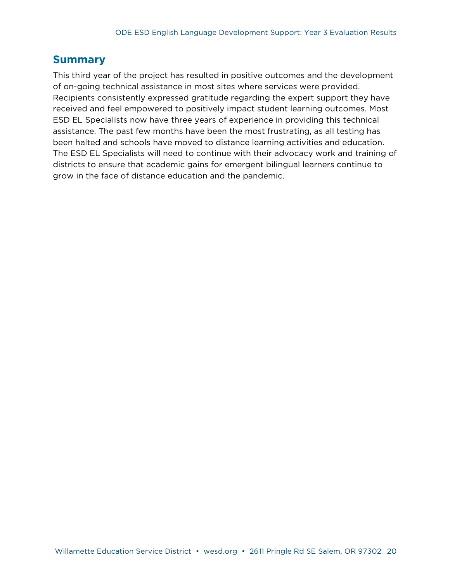### <span id="page-21-0"></span>**Summary**

This third year of the project has resulted in positive outcomes and the development of on-going technical assistance in most sites where services were provided. Recipients consistently expressed gratitude regarding the expert support they have received and feel empowered to positively impact student learning outcomes. Most ESD EL Specialists now have three years of experience in providing this technical assistance. The past few months have been the most frustrating, as all testing has been halted and schools have moved to distance learning activities and education. The ESD EL Specialists will need to continue with their advocacy work and training of districts to ensure that academic gains for emergent bilingual learners continue to grow in the face of distance education and the pandemic.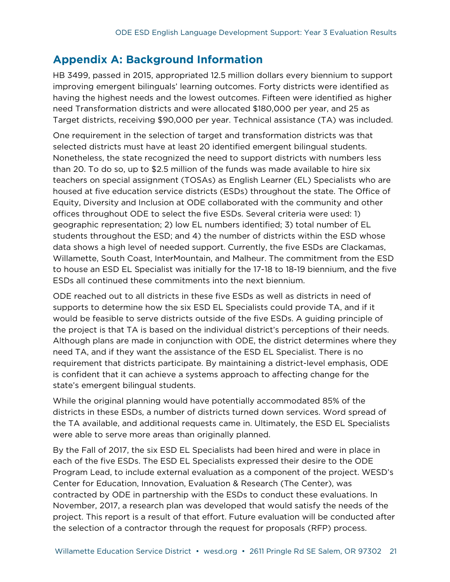## <span id="page-22-0"></span>**Appendix A: Background Information**

HB 3499, passed in 2015, appropriated 12.5 million dollars every biennium to support improving emergent bilinguals' learning outcomes. Forty districts were identified as having the highest needs and the lowest outcomes. Fifteen were identified as higher need Transformation districts and were allocated \$180,000 per year, and 25 as Target districts, receiving \$90,000 per year. Technical assistance (TA) was included.

One requirement in the selection of target and transformation districts was that selected districts must have at least 20 identified emergent bilingual students. Nonetheless, the state recognized the need to support districts with numbers less than 20. To do so, up to \$2.5 million of the funds was made available to hire six teachers on special assignment (TOSAs) as English Learner (EL) Specialists who are housed at five education service districts (ESDs) throughout the state. The Office of Equity, Diversity and Inclusion at ODE collaborated with the community and other offices throughout ODE to select the five ESDs. Several criteria were used: 1) geographic representation; 2) low EL numbers identified; 3) total number of EL students throughout the ESD; and 4) the number of districts within the ESD whose data shows a high level of needed support. Currently, the five ESDs are Clackamas, Willamette, South Coast, InterMountain, and Malheur. The commitment from the ESD to house an ESD EL Specialist was initially for the 17-18 to 18-19 biennium, and the five ESDs all continued these commitments into the next biennium.

ODE reached out to all districts in these five ESDs as well as districts in need of supports to determine how the six ESD EL Specialists could provide TA, and if it would be feasible to serve districts outside of the five ESDs. A guiding principle of the project is that TA is based on the individual district's perceptions of their needs. Although plans are made in conjunction with ODE, the district determines where they need TA, and if they want the assistance of the ESD EL Specialist. There is no requirement that districts participate. By maintaining a district-level emphasis, ODE is confident that it can achieve a systems approach to affecting change for the state's emergent bilingual students.

While the original planning would have potentially accommodated 85% of the districts in these ESDs, a number of districts turned down services. Word spread of the TA available, and additional requests came in. Ultimately, the ESD EL Specialists were able to serve more areas than originally planned.

By the Fall of 2017, the six ESD EL Specialists had been hired and were in place in each of the five ESDs. The ESD EL Specialists expressed their desire to the ODE Program Lead, to include external evaluation as a component of the project. WESD's Center for Education, Innovation, Evaluation & Research (The Center), was contracted by ODE in partnership with the ESDs to conduct these evaluations. In November, 2017, a research plan was developed that would satisfy the needs of the project. This report is a result of that effort. Future evaluation will be conducted after the selection of a contractor through the request for proposals (RFP) process.